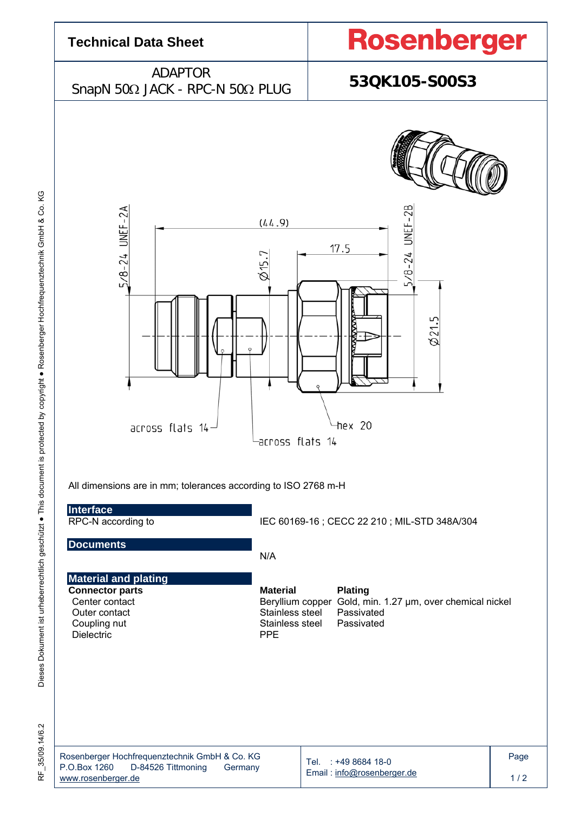

RF\_35/09.14/6.2 35/09.14/6.2 눈